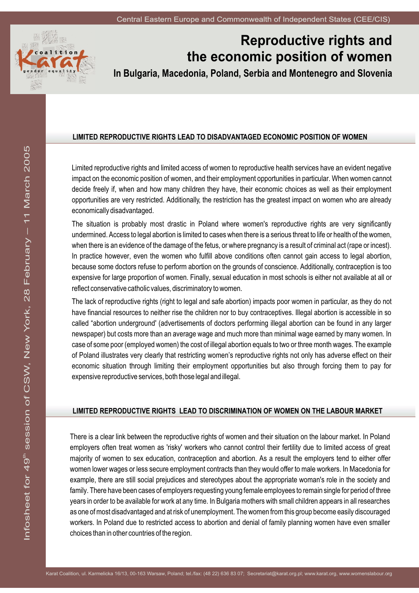

# **Reproductive rights and the economic position of women**

**In Bulgaria, Macedonia, Poland, Serbia and Montenegro and Slovenia**

# **LIMITED REPRODUCTIVE RIGHTS LEAD TO DISADVANTAGED ECONOMIC POSITION OF WOMEN**

Limited reproductive rights and limited access of women to reproductive health services have an evident negative impact on the economic position of women, and their employment opportunities in particular. When women cannot decide freely if, when and how many children they have, their economic choices as well as their employment opportunities are very restricted. Additionally, the restriction has the greatest impact on women who are already economically disadvantaged.

The situation is probably most drastic in Poland where women's reproductive rights are very significantly undermined. Access to legal abortion is limited to cases when there is a serious threat to life or health of the women, when there is an evidence of the damage of the fetus, or where pregnancy is a result of criminal act (rape or incest). In practice however, even the women who fulfill above conditions often cannot gain access to legal abortion, because some doctors refuse to perform abortion on the grounds of conscience. Additionally, contraception is too expensive for large proportion of women. Finally, sexual education in most schools is either not available at all or reflect conservative catholic values, discriminatory to women.

The lack of reproductive rights (right to legal and safe abortion) impacts poor women in particular, as they do not have financial resources to neither rise the children nor to buy contraceptives. Illegal abortion is accessible in so called "abortion underground' (advertisements of doctors performing illegal abortion can be found in any larger newspaper) but costs more than an average wage and much more than minimal wage earned by many women. In case of some poor (employed women) the cost of illegal abortion equals to two or three month wages. The example of Poland illustrates very clearly that restricting women's reproductive rights not only has adverse effect on their economic situation through limiting their employment opportunities but also through forcing them to pay for expensive reproductive services, both those legal and illegal.

# **LIMITED REPRODUCTIVE RIGHTS LEAD TO DISCRIMINATION OF WOMEN ON THE LABOUR MARKET**

There is a clear link between the reproductive rights of women and their situation on the labour market. In Poland employers often treat women as 'risky' workers who cannot control their fertility due to limited access of great majority of women to sex education, contraception and abortion. As a result the employers tend to either offer women lower wages or less secure employment contracts than they would offer to male workers. In Macedonia for example, there are still social prejudices and stereotypes about the appropriate woman's role in the society and family. There have been cases of employers requesting young female employees to remain single for period of three years in order to be available for work at any time. In Bulgaria mothers with small children appears in all researches as one of most disadvantaged and at risk of unemployment. The women from this group become easily discouraged workers. In Poland due to restricted access to abortion and denial of family planning women have even smaller choices than in other countries of the region.